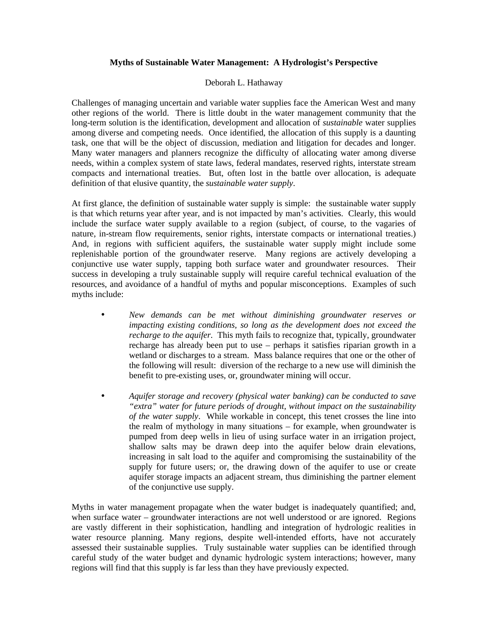## **Myths of Sustainable Water Management: A Hydrologist's Perspective**

## Deborah L. Hathaway

Challenges of managing uncertain and variable water supplies face the American West and many other regions of the world. There is little doubt in the water management community that the long-term solution is the identification, development and allocation of *sustainable* water supplies among diverse and competing needs. Once identified, the allocation of this supply is a daunting task, one that will be the object of discussion, mediation and litigation for decades and longer. Many water managers and planners recognize the difficulty of allocating water among diverse needs, within a complex system of state laws, federal mandates, reserved rights, interstate stream compacts and international treaties. But, often lost in the battle over allocation, is adequate definition of that elusive quantity, the *sustainable water supply*.

At first glance, the definition of sustainable water supply is simple: the sustainable water supply is that which returns year after year, and is not impacted by man's activities. Clearly, this would include the surface water supply available to a region (subject, of course, to the vagaries of nature, in-stream flow requirements, senior rights, interstate compacts or international treaties.) And, in regions with sufficient aquifers, the sustainable water supply might include some replenishable portion of the groundwater reserve. Many regions are actively developing a conjunctive use water supply, tapping both surface water and groundwater resources. Their success in developing a truly sustainable supply will require careful technical evaluation of the resources, and avoidance of a handful of myths and popular misconceptions. Examples of such myths include:

- *New demands can be met without diminishing groundwater reserves or impacting existing conditions, so long as the development does not exceed the recharge to the aquifer*. This myth fails to recognize that, typically, groundwater recharge has already been put to use – perhaps it satisfies riparian growth in a wetland or discharges to a stream. Mass balance requires that one or the other of the following will result: diversion of the recharge to a new use will diminish the benefit to pre-existing uses, or, groundwater mining will occur.
- *Aquifer storage and recovery (physical water banking) can be conducted to save "extra" water for future periods of drought, without impact on the sustainability of the water supply*. While workable in concept, this tenet crosses the line into the realm of mythology in many situations – for example, when groundwater is pumped from deep wells in lieu of using surface water in an irrigation project, shallow salts may be drawn deep into the aquifer below drain elevations, increasing in salt load to the aquifer and compromising the sustainability of the supply for future users; or, the drawing down of the aquifer to use or create aquifer storage impacts an adjacent stream, thus diminishing the partner element of the conjunctive use supply.

Myths in water management propagate when the water budget is inadequately quantified; and, when surface water – groundwater interactions are not well understood or are ignored. Regions are vastly different in their sophistication, handling and integration of hydrologic realities in water resource planning. Many regions, despite well-intended efforts, have not accurately assessed their sustainable supplies. Truly sustainable water supplies can be identified through careful study of the water budget and dynamic hydrologic system interactions; however, many regions will find that this supply is far less than they have previously expected.